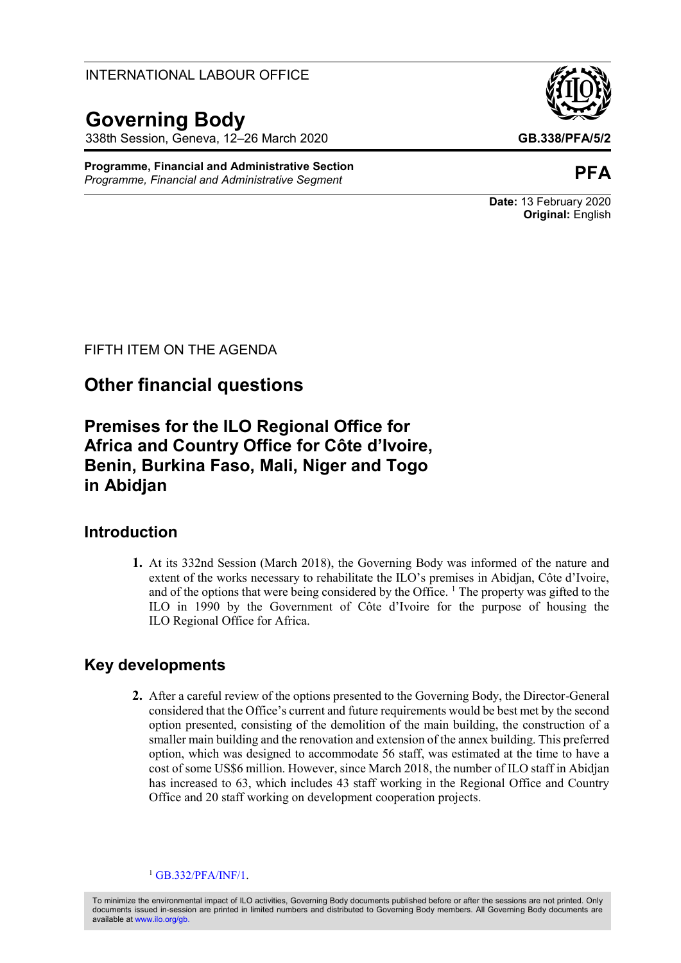INTERNATIONAL LABOUR OFFICE

# **Governing Body**

338th Session, Geneva, 12–26 March 2020 **GB.338/PFA/5/2**

**Programme, Financial and Administrative Section** *Programme, Financial and Administrative Segment* **PFA**



**Date:** 13 February 2020 **Original:** English

FIFTH ITEM ON THE AGENDA

# **Other financial questions**

**Premises for the ILO Regional Office for Africa and Country Office for Côte d'Ivoire, Benin, Burkina Faso, Mali, Niger and Togo in Abidjan**

## **Introduction**

**1.** At its 332nd Session (March 2018), the Governing Body was informed of the nature and extent of the works necessary to rehabilitate the ILO's premises in Abidjan, Côte d'Ivoire, and of the options that were being considered by the Office.<sup>1</sup> The property was gifted to the ILO in 1990 by the Government of Côte d'Ivoire for the purpose of housing the ILO Regional Office for Africa.

# **Key developments**

**2.** After a careful review of the options presented to the Governing Body, the Director-General considered that the Office's current and future requirements would be best met by the second option presented, consisting of the demolition of the main building, the construction of a smaller main building and the renovation and extension of the annex building. This preferred option, which was designed to accommodate 56 staff, was estimated at the time to have a cost of some US\$6 million. However, since March 2018, the number of ILO staff in Abidjan has increased to 63, which includes 43 staff working in the Regional Office and Country Office and 20 staff working on development cooperation projects.

 $1$  [GB.332/PFA/INF/1.](https://www.ilo.org/wcmsp5/groups/public/---ed_norm/---relconf/documents/meetingdocument/wcms_619650.pdf)

To minimize the environmental impact of ILO activities, Governing Body documents published before or after the sessions are not printed. Only documents issued in-session are printed in limited numbers and distributed to Governing Body members. All Governing Body documents are available a[t www.ilo.org/gb.](http://www.ilo.org/gb)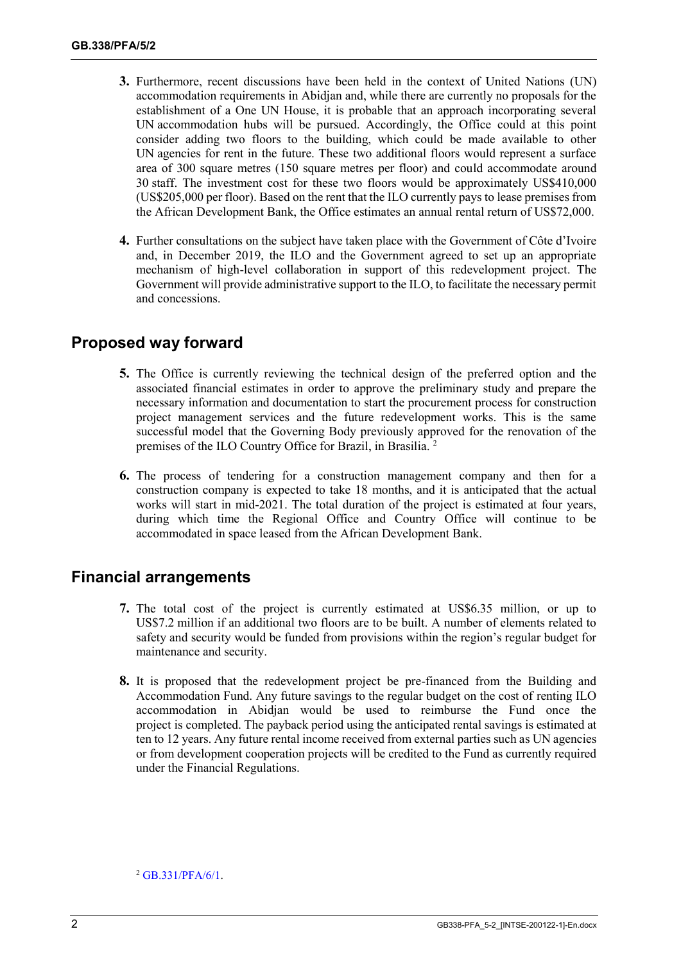- **3.** Furthermore, recent discussions have been held in the context of United Nations (UN) accommodation requirements in Abidjan and, while there are currently no proposals for the establishment of a One UN House, it is probable that an approach incorporating several UN accommodation hubs will be pursued. Accordingly, the Office could at this point consider adding two floors to the building, which could be made available to other UN agencies for rent in the future. These two additional floors would represent a surface area of 300 square metres (150 square metres per floor) and could accommodate around 30 staff. The investment cost for these two floors would be approximately US\$410,000 (US\$205,000 per floor). Based on the rent that the ILO currently pays to lease premises from the African Development Bank, the Office estimates an annual rental return of US\$72,000.
- **4.** Further consultations on the subject have taken place with the Government of Côte d'Ivoire and, in December 2019, the ILO and the Government agreed to set up an appropriate mechanism of high-level collaboration in support of this redevelopment project. The Government will provide administrative support to the ILO, to facilitate the necessary permit and concessions.

### **Proposed way forward**

- **5.** The Office is currently reviewing the technical design of the preferred option and the associated financial estimates in order to approve the preliminary study and prepare the necessary information and documentation to start the procurement process for construction project management services and the future redevelopment works. This is the same successful model that the Governing Body previously approved for the renovation of the premises of the ILO Country Office for Brazil, in Brasilia. <sup>2</sup>
- **6.** The process of tendering for a construction management company and then for a construction company is expected to take 18 months, and it is anticipated that the actual works will start in mid-2021. The total duration of the project is estimated at four years, during which time the Regional Office and Country Office will continue to be accommodated in space leased from the African Development Bank.

#### **Financial arrangements**

- **7.** The total cost of the project is currently estimated at US\$6.35 million, or up to US\$7.2 million if an additional two floors are to be built. A number of elements related to safety and security would be funded from provisions within the region's regular budget for maintenance and security.
- **8.** It is proposed that the redevelopment project be pre-financed from the Building and Accommodation Fund. Any future savings to the regular budget on the cost of renting ILO accommodation in Abidjan would be used to reimburse the Fund once the project is completed. The payback period using the anticipated rental savings is estimated at ten to 12 years. Any future rental income received from external parties such as UN agencies or from development cooperation projects will be credited to the Fund as currently required under the Financial Regulations.

 $2$  [GB.331/PFA/6/1.](https://www.ilo.org/wcmsp5/groups/public/---ed_norm/---relconf/documents/meetingdocument/wcms_579087.pdf)